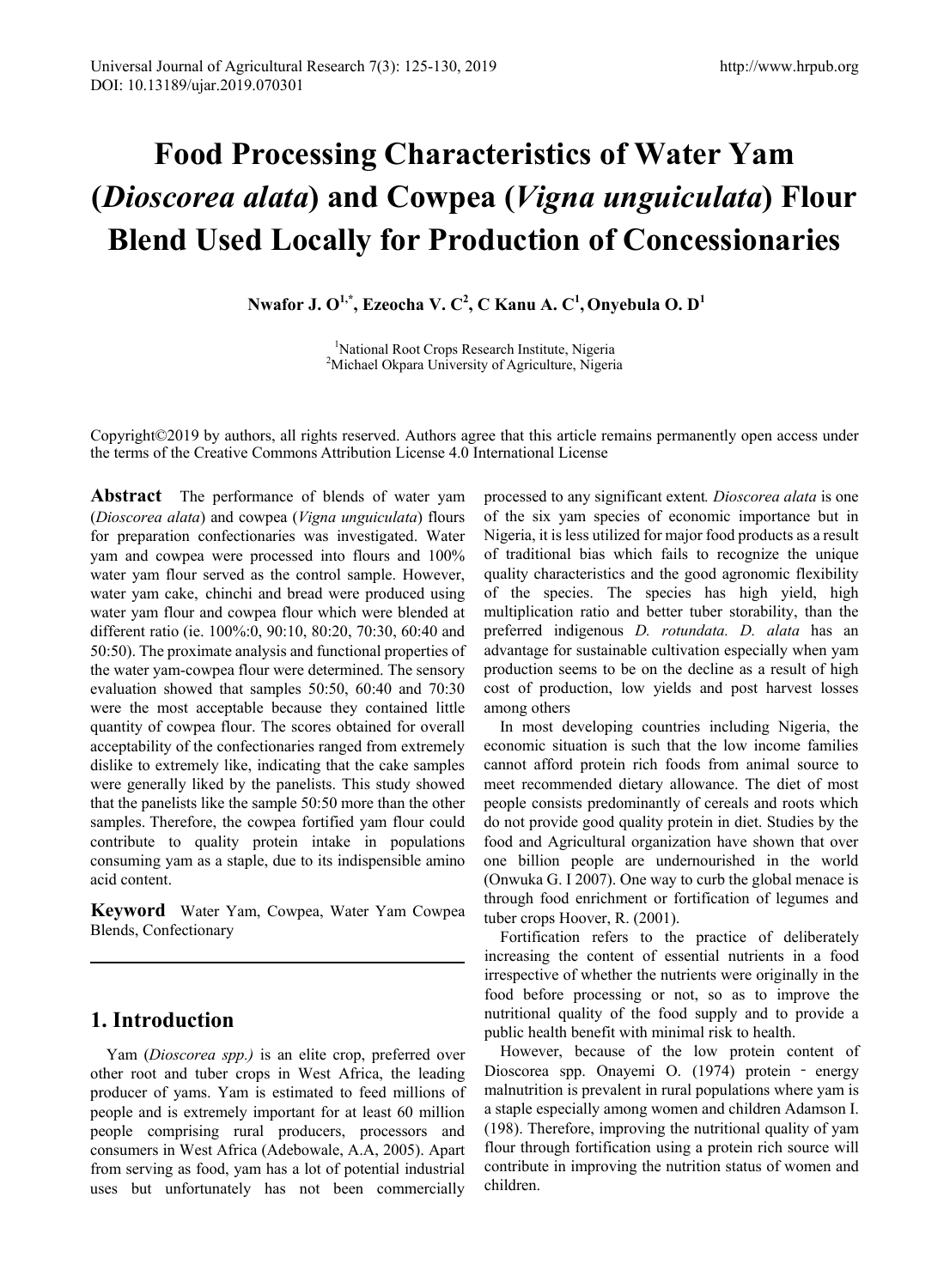# **Food Processing Characteristics of Water Yam (***Dioscorea alata***) and Cowpea (***Vigna unguiculata***) Flour Blend Used Locally for Production of Concessionaries**

**Nwafor J. O 1,\* , Ezeocha V. C 2 , C Kanu A. C 1 , Onyebula O. D 1**

<sup>1</sup>National Root Crops Research Institute, Nigeria National Root Crops Research Institute, Nigeria <sup>2</sup> Michael Okpara University of Agriculture, Nigeria

Copyright©2019 by authors, all rights reserved. Authors agree that this article remains permanently open access under the terms of the Creative Commons Attribution License 4.0 International License

**Abstract** The performance of blends of water yam (*Dioscorea alata*) and cowpea (*Vigna unguiculata*) flours for preparation confectionaries was investigated. Water yam and cowpea were processed into flours and 100% water yam flour served as the control sample. However, water yam cake, chinchi and bread were produced using water yam flour and cowpea flour which were blended at different ratio (ie. 100%:0, 90:10, 80:20, 70:30, 60:40 and 50:50). The proximate analysis and functional properties of the water yam-cowpea flour were determined. The sensory evaluation showed that samples 50:50, 60:40 and 70:30 were the most acceptable because they contained little quantity of cowpea flour. The scores obtained for overall acceptability of the confectionaries ranged from extremely dislike to extremely like, indicating that the cake samples were generally liked by the panelists. This study showed that the panelists like the sample 50:50 more than the other samples. Therefore, the cowpea fortified yam flour could contribute to quality protein intake in populations consuming yam as a staple, due to its indispensible amino acid content.

**Keyword** Water Yam, Cowpea, Water Yam Cowpea Blends, Confectionary

# **1. Introduction**

Yam (*Dioscorea spp.)* is an elite crop, preferred over other root and tuber crops in West Africa, the leading producer of yams. Yam is estimated to feed millions of people and is extremely important for at least 60 million people comprising rural producers, processors and consumers in West Africa (Adebowale, A.A, 2005). Apart from serving as food, yam has a lot of potential industrial uses but unfortunately has not been commercially

processed to any significant extent*. Dioscorea alata* is one of the six yam species of economic importance but in Nigeria, it is less utilized for major food products as a result of traditional bias which fails to recognize the unique quality characteristics and the good agronomic flexibility of the species. The species has high yield, high multiplication ratio and better tuber storability, than the preferred indigenous *D. rotundata. D. alata* has an advantage for sustainable cultivation especially when yam production seems to be on the decline as a result of high cost of production, low yields and post harvest losses among others

In most developing countries including Nigeria, the economic situation is such that the low income families cannot afford protein rich foods from animal source to meet recommended dietary allowance. The diet of most people consists predominantly of cereals and roots which do not provide good quality protein in diet. Studies by the food and Agricultural organization have shown that over one billion people are undernourished in the world (Onwuka G. I 2007). One way to curb the global menace is through food enrichment or fortification of legumes and tuber crops Hoover, R. (2001).

Fortification refers to the practice of deliberately increasing the content of essential nutrients in a food irrespective of whether the nutrients were originally in the food before processing or not, so as to improve the nutritional quality of the food supply and to provide a public health benefit with minimal risk to health.

However, because of the low protein content of Dioscorea spp. Onayemi O. (1974) protein ‐ energy malnutrition is prevalent in rural populations where yam is a staple especially among women and children Adamson I. (198). Therefore, improving the nutritional quality of yam flour through fortification using a protein rich source will contribute in improving the nutrition status of women and children.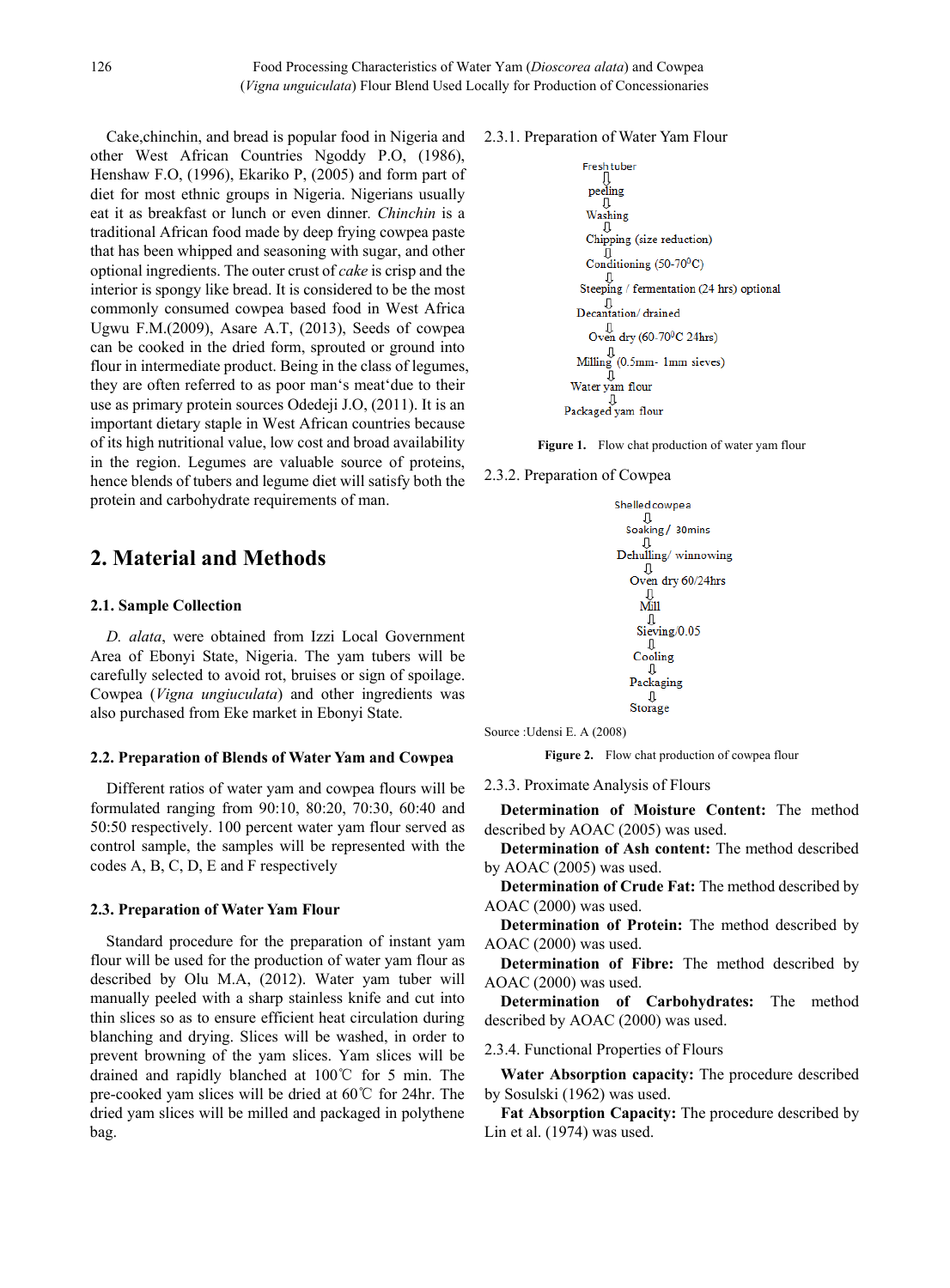Cake,chinchin, and bread is popular food in Nigeria and other West African Countries Ngoddy P.O, (1986), Henshaw F.O, (1996), Ekariko P, (2005) and form part of diet for most ethnic groups in Nigeria. Nigerians usually eat it as breakfast or lunch or even dinner*. Chinchin* is a traditional African food made by deep frying cowpea paste that has been whipped and seasoning with sugar, and other optional ingredients. The outer crust of *cake* is crisp and the interior is spongy like bread. It is considered to be the most commonly consumed cowpea based food in West Africa Ugwu F.M.(2009), Asare A.T, (2013), Seeds of cowpea can be cooked in the dried form, sprouted or ground into flour in intermediate product. Being in the class of legumes, they are often referred to as poor man's meat'due to their use as primary protein sources Odedeji J.O, (2011). It is an important dietary staple in West African countries because of its high nutritional value, low cost and broad availability in the region. Legumes are valuable source of proteins, hence blends of tubers and legume diet will satisfy both the protein and carbohydrate requirements of man.

# **2. Material and Methods**

## **2.1. Sample Collection**

*D. alata*, were obtained from Izzi Local Government Area of Ebonyi State, Nigeria. The yam tubers will be carefully selected to avoid rot, bruises or sign of spoilage. Cowpea (*Vigna ungiuculata*) and other ingredients was also purchased from Eke market in Ebonyi State.

#### **2.2. Preparation of Blends of Water Yam and Cowpea**

Different ratios of water yam and cowpea flours will be formulated ranging from 90:10, 80:20, 70:30, 60:40 and 50:50 respectively. 100 percent water yam flour served as control sample, the samples will be represented with the codes A, B, C, D, E and F respectively

## **2.3. Preparation of Water Yam Flour**

Standard procedure for the preparation of instant yam flour will be used for the production of water yam flour as described by Olu M.A, (2012). Water yam tuber will manually peeled with a sharp stainless knife and cut into thin slices so as to ensure efficient heat circulation during blanching and drying. Slices will be washed, in order to prevent browning of the yam slices. Yam slices will be drained and rapidly blanched at 100℃ for 5 min. The pre-cooked yam slices will be dried at 60℃ for 24hr. The dried yam slices will be milled and packaged in polythene bag.

## 2.3.1. Preparation of Water Yam Flour

Fresh tuber

\n 
$$
\begin{bmatrix}\n \text{pelling} \\
\text{Q} \\
\text{Washing}\n \end{bmatrix}
$$
\n

\n  $\begin{bmatrix}\n \text{Washing} \\
\text{Chipping} \\
\text{Copning} \\
\text{Copning} \\
\text{Frementation} \\
\text{T} \\
\text{Decantation} \\
\text{J} \\
\text{Dccantation} \\
\text{J} \\
\text{Dccantation} \\
\text{J} \\
\text{Milling} \\
\text{Oven dry} \\
\text{(60-70°C 24hrs)}\n \end{bmatrix}$ \n

\n  $\begin{bmatrix}\n \text{U} \\
\text{Ovem dry} \\
\text{GO} \\
\text{Fogon} \\
\text{J} \\
\text{J} \\
\text{J} \\
\text{J} \\
\text{J} \\
\text{J} \\
\text{J} \\
\text{J} \\
\text{J} \\
\text{J} \\
\text{J} \\
\text{J} \\
\text{J} \\
\text{J} \\
\text{J} \\
\text{J} \\
\text{J} \\
\text{J} \\
\text{J} \\
\text{J} \\
\text{J} \\
\text{J} \\
\text{J} \\
\text{J} \\
\text{J} \\
\text{J} \\
\text{J} \\
\text{J} \\
\text{J} \\
\text{J} \\
\text{J} \\
\text{J} \\
\text{J} \\
\text{J} \\
\text{J} \\
\text{J} \\
\text{J} \\
\text{J} \\
\text{J} \\
\text{J} \\
\text{J} \\
\text{J} \\
\text{J} \\
\text{J} \\
\text{J} \\
\text{J} \\
\text{J} \\
\text{J} \\
\text{J} \\
\text{J} \\
\text{J} \\
\text{J} \\
\text{J} \\
\text{J} \\
\text{J} \\
\text{J} \\
\text{J} \\
\text{J} \\
\text{J} \\
\text{J} \\
\text{J} \\
\text{J} \\
\text{J} \\
\text{J} \\
\text{J} \\
\text{J} \\
\text{J} \\
\text{J} \\
\text{J} \\
\text{J} \\
\text{J} \\
\text{J} \\
\text{J} \\
\text{J} \\
\text{J} \\
\text{J} \\
\text{J} \\
\text{J} \\
\text{J} \\
\text{J} \\
\text{J} \\
\text{J} \\
\text{J} \\
\text{J} \\
\text{J} \\
\text{J} \\$ 

**Figure 1.** Flow chat production of water yam flour

2.3.2. Preparation of Cowpea

Shelled cownea  $\Box$ Soaking / 30mins Л Dehulling/winnowing  $\mathsf{\Pi}$ Oven dry 60/24hrs л Mill л Sieving/0.05 Л Cooling Packaging Л Storage

Source :Udensi E. A (2008)

**Figure 2.** Flow chat production of cowpea flour

2.3.3. Proximate Analysis of Flours

**Determination of Moisture Content:** The method described by AOAC (2005) was used.

**Determination of Ash content:** The method described by AOAC (2005) was used.

**Determination of Crude Fat:** The method described by AOAC (2000) was used.

**Determination of Protein:** The method described by AOAC (2000) was used.

**Determination of Fibre:** The method described by AOAC (2000) was used.

**Determination of Carbohydrates:** The method described by AOAC (2000) was used.

2.3.4. Functional Properties of Flours

**Water Absorption capacity:** The procedure described by Sosulski (1962) was used.

**Fat Absorption Capacity:** The procedure described by Lin et al. (1974) was used.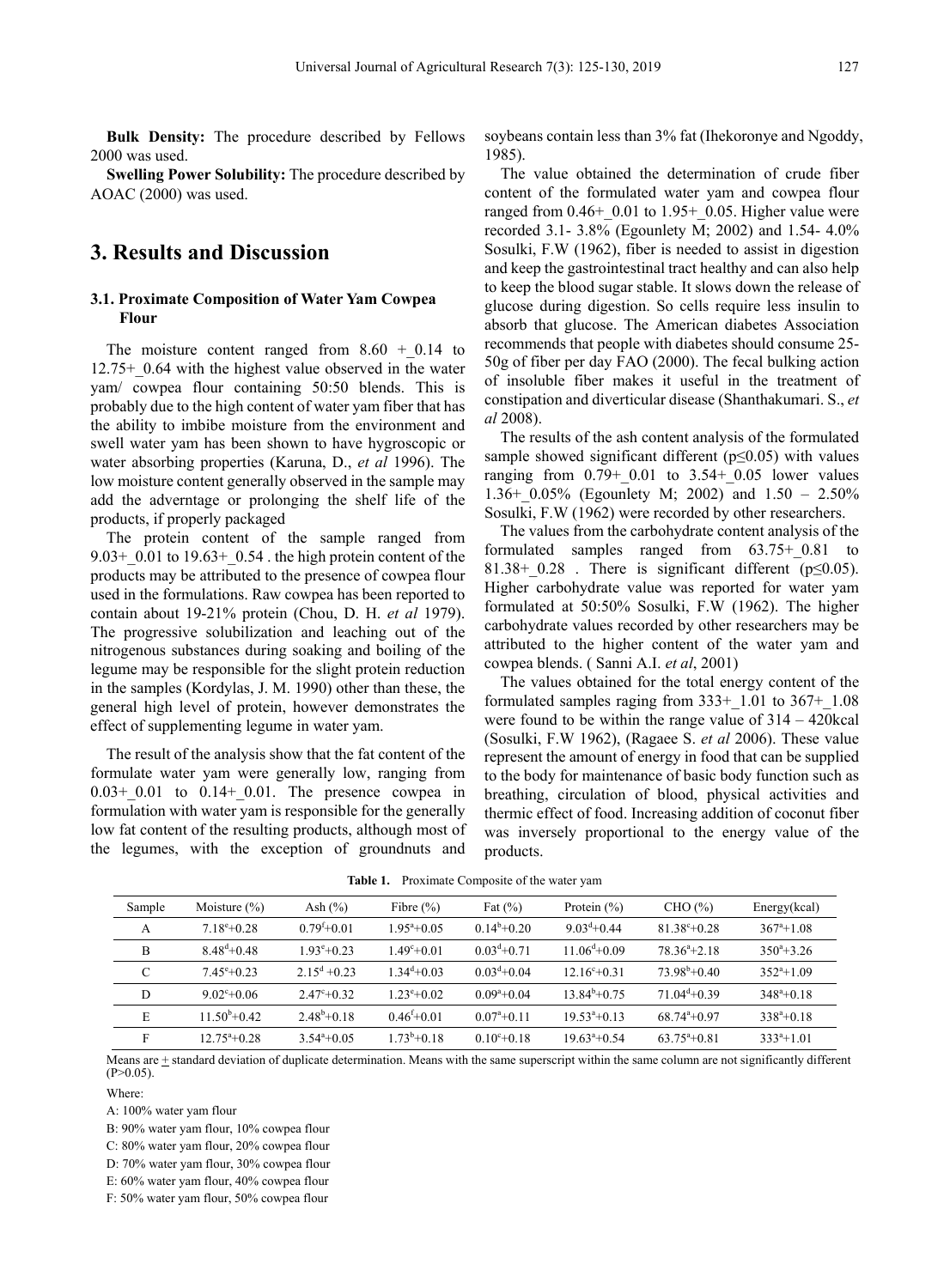**Bulk Density:** The procedure described by Fellows 2000 was used.

**Swelling Power Solubility:** The procedure described by AOAC (2000) was used.

## **3. Results and Discussion**

## **3.1. Proximate Composition of Water Yam Cowpea Flour**

The moisture content ranged from  $8.60 + 0.14$  to 12.75+\_0.64 with the highest value observed in the water yam/ cowpea flour containing 50:50 blends. This is probably due to the high content of water yam fiber that has the ability to imbibe moisture from the environment and swell water yam has been shown to have hygroscopic or water absorbing properties (Karuna, D., *et al* 1996). The low moisture content generally observed in the sample may add the adverntage or prolonging the shelf life of the products, if properly packaged

The protein content of the sample ranged from 9.03+  $0.01$  to 19.63+  $0.54$  . the high protein content of the products may be attributed to the presence of cowpea flour used in the formulations. Raw cowpea has been reported to contain about 19-21% protein (Chou, D. H. *et al* 1979). The progressive solubilization and leaching out of the nitrogenous substances during soaking and boiling of the legume may be responsible for the slight protein reduction in the samples (Kordylas, J. M. 1990) other than these, the general high level of protein, however demonstrates the effect of supplementing legume in water yam.

The result of the analysis show that the fat content of the formulate water yam were generally low, ranging from  $0.03 + 0.01$  to  $0.14 + 0.01$ . The presence cowpea in formulation with water yam is responsible for the generally low fat content of the resulting products, although most of the legumes, with the exception of groundnuts and

soybeans contain less than 3% fat (Ihekoronye and Ngoddy, 1985).

The value obtained the determination of crude fiber content of the formulated water yam and cowpea flour ranged from  $0.46+0.01$  to  $1.95+0.05$ . Higher value were recorded 3.1- 3.8% (Egounlety M; 2002) and 1.54- 4.0% Sosulki, F.W (1962), fiber is needed to assist in digestion and keep the gastrointestinal tract healthy and can also help to keep the blood sugar stable. It slows down the release of glucose during digestion. So cells require less insulin to absorb that glucose. The American diabetes Association recommends that people with diabetes should consume 25- 50g of fiber per day FAO (2000). The fecal bulking action of insoluble fiber makes it useful in the treatment of constipation and diverticular disease (Shanthakumari. S., *et al* 2008).

The results of the ash content analysis of the formulated sample showed significant different ( $p \le 0.05$ ) with values ranging from  $0.79+0.01$  to  $3.54+0.05$  lower values 1.36+  $0.05\%$  (Egounlety M; 2002) and 1.50 – 2.50% Sosulki, F.W (1962) were recorded by other researchers.

The values from the carbohydrate content analysis of the formulated samples ranged from 63.75+\_0.81 to 81.38+ 0.28. There is significant different ( $p\leq 0.05$ ). Higher carbohydrate value was reported for water yam formulated at 50:50% Sosulki, F.W (1962). The higher carbohydrate values recorded by other researchers may be attributed to the higher content of the water yam and cowpea blends. ( Sanni A.I. *et al*, 2001)

The values obtained for the total energy content of the formulated samples raging from  $333+1.01$  to  $367+1.08$ were found to be within the range value of 314 – 420kcal (Sosulki, F.W 1962), (Ragaee S. *et al* 2006). These value represent the amount of energy in food that can be supplied to the body for maintenance of basic body function such as breathing, circulation of blood, physical activities and thermic effect of food. Increasing addition of coconut fiber was inversely proportional to the energy value of the products.

| Sample | Moisture $(\% )$            | Ash $(\%)$               | Fibre $(\% )$       | Fat $(\% )$              | Protein $(\% )$           | CHO (%)                   | Energy(kcal)       |
|--------|-----------------------------|--------------------------|---------------------|--------------------------|---------------------------|---------------------------|--------------------|
| A      | $7.18^{\circ}+0.28$         | $0.79^{f}+0.01$          | $.95^{\circ}+0.05$  | $0.14^b + 0.20$          | $9.03^{d} + 0.44$         | $81.38^{\circ}+0.28$      | $367^{\circ}+1.08$ |
| B      | $8.48^{d} + 0.48$           | $1.93^{\circ}+0.23$      | $49^{\circ}+0.01$   | $0.03^{d} + 0.71$        | $11.06^{\text{d}} + 0.09$ | $78.36^{\circ}+2.18$      | $350^{\circ}+3.26$ |
| C      | $7.45^{\circ}+0.23$         | $2.15^{\text{d}} + 0.23$ | $34^d + 0.03$       | $0.03^{\text{d}} + 0.04$ | $12.16^{\circ}+0.31$      | $73.98^{\rm b} + 0.40$    | $352^{\circ}+1.09$ |
| D      | $9.02^{\circ}+0.06$         | $2.47^{\circ}+0.32$      | $1.23^{\circ}+0.02$ | $0.09^{\circ}+0.04$      | $13.84^{b}+0.75$          | $71.04^{\text{d}} + 0.39$ | $348^{\circ}+0.18$ |
| E      | $11.50^{\mathrm{b}} + 0.42$ | $2.48^b + 0.18$          | $0.46^{f}$ + 0.01   | $0.07^{\circ}+0.11$      | $19.53^{\circ}+0.13$      | $68.74^{a}+0.97$          | $338^a + 0.18$     |
| F      | $12.75^{\circ}+0.28$        | $3.54^{\circ}+0.05$      | $1.73^b + 0.18$     | $0.10^{c} + 0.18$        | $19.63^{\circ}+0.54$      | $63.75^{\circ}+0.81$      | $333^a + 1.01$     |
|        |                             |                          |                     |                          |                           |                           |                    |

**Table 1.** Proximate Composite of the water yam

Means are + standard deviation of duplicate determination. Means with the same superscript within the same column are not significantly different  $(P>0.05)$ .

Where:

A: 100% water yam flour

B: 90% water yam flour, 10% cowpea flour

C: 80% water yam flour, 20% cowpea flour

D: 70% water yam flour, 30% cowpea flour

E: 60% water yam flour, 40% cowpea flour

F: 50% water yam flour, 50% cowpea flour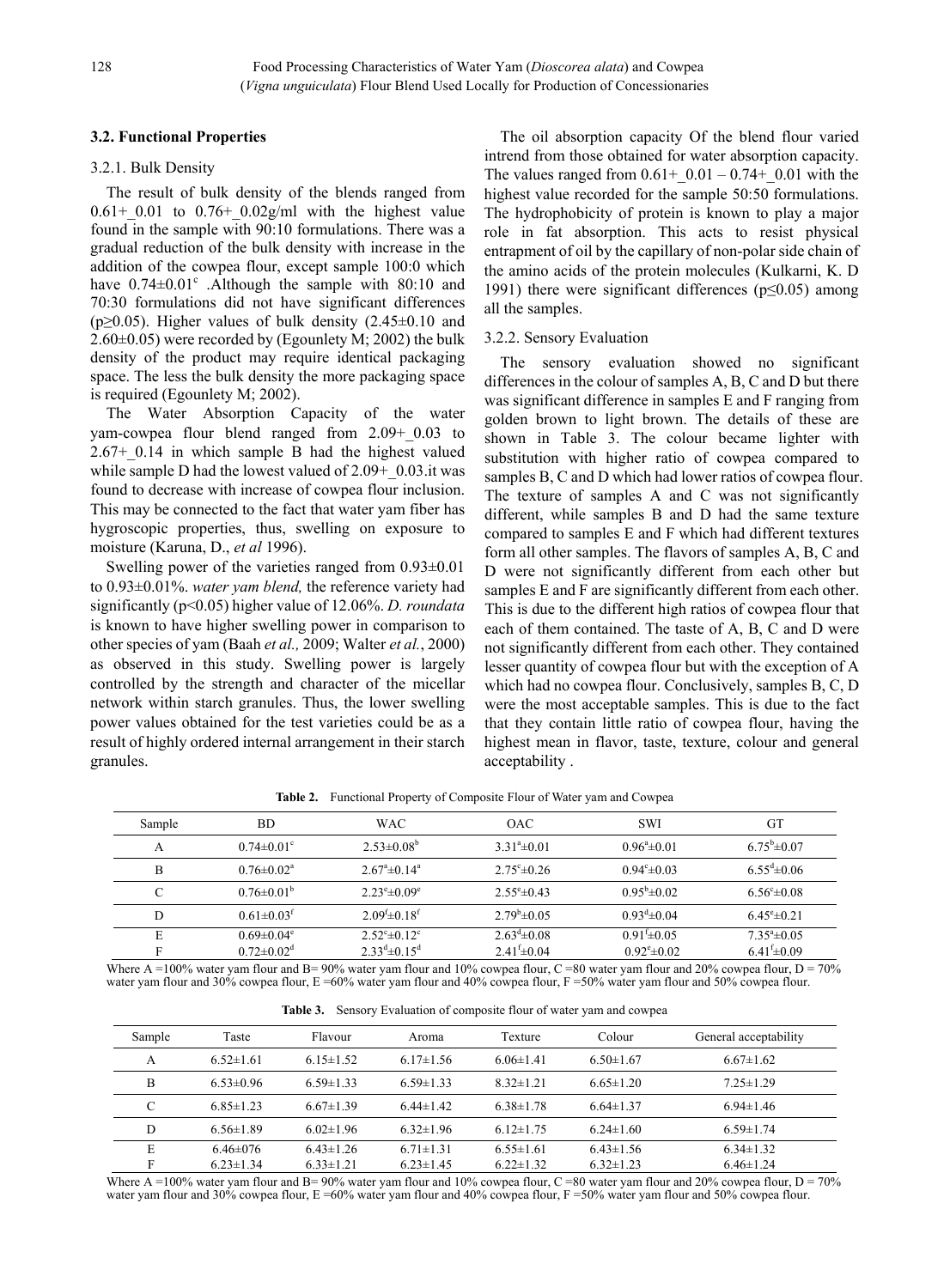## **3.2. Functional Properties**

## 3.2.1. Bulk Density

The result of bulk density of the blends ranged from  $0.61+0.01$  to  $0.76+0.02g/ml$  with the highest value found in the sample with 90:10 formulations. There was a gradual reduction of the bulk density with increase in the addition of the cowpea flour, except sample 100:0 which have  $0.74\pm0.01^{\circ}$  . Although the sample with 80:10 and 70:30 formulations did not have significant differences (p $\geq$ 0.05). Higher values of bulk density (2.45 $\pm$ 0.10 and 2.60±0.05) were recorded by (Egounlety M; 2002) the bulk density of the product may require identical packaging space. The less the bulk density the more packaging space is required (Egounlety M; 2002).

The Water Absorption Capacity of the water yam-cowpea flour blend ranged from 2.09+\_0.03 to  $2.67+0.14$  in which sample B had the highest valued while sample D had the lowest valued of  $2.09+~0.03$ .it was found to decrease with increase of cowpea flour inclusion. This may be connected to the fact that water yam fiber has hygroscopic properties, thus, swelling on exposure to moisture (Karuna, D., *et al* 1996).

Swelling power of the varieties ranged from 0.93±0.01 to 0.93±0.01%. *water yam blend,* the reference variety had significantly (p<0.05) higher value of 12.06%. *D. roundata* is known to have higher swelling power in comparison to other species of yam (Baah *et al.,* 2009; Walter *et al.*, 2000) as observed in this study. Swelling power is largely controlled by the strength and character of the micellar network within starch granules. Thus, the lower swelling power values obtained for the test varieties could be as a result of highly ordered internal arrangement in their starch granules.

The oil absorption capacity Of the blend flour varied intrend from those obtained for water absorption capacity. The values ranged from  $0.61+$  0.01 – 0.74+ 0.01 with the highest value recorded for the sample 50:50 formulations. The hydrophobicity of protein is known to play a major role in fat absorption. This acts to resist physical entrapment of oil by the capillary of non-polar side chain of the amino acids of the protein molecules (Kulkarni, K. D 1991) there were significant differences (p≤0.05) among all the samples.

#### 3.2.2. Sensory Evaluation

The sensory evaluation showed no significant differences in the colour of samples A, B, C and D but there was significant difference in samples E and F ranging from golden brown to light brown. The details of these are shown in Table 3. The colour became lighter with substitution with higher ratio of cowpea compared to samples B, C and D which had lower ratios of cowpea flour. The texture of samples A and C was not significantly different, while samples B and D had the same texture compared to samples E and F which had different textures form all other samples. The flavors of samples A, B, C and D were not significantly different from each other but samples E and F are significantly different from each other. This is due to the different high ratios of cowpea flour that each of them contained. The taste of A, B, C and D were not significantly different from each other. They contained lesser quantity of cowpea flour but with the exception of A which had no cowpea flour. Conclusively, samples B, C, D were the most acceptable samples. This is due to the fact that they contain little ratio of cowpea flour, having the highest mean in flavor, taste, texture, colour and general acceptability .

| Sample             | <b>BD</b>                    | <b>WAC</b>                        | <b>OAC</b>                 | <b>SWI</b>                 | GT                         |
|--------------------|------------------------------|-----------------------------------|----------------------------|----------------------------|----------------------------|
| A                  | $0.74 \pm 0.01$ °            | $2.53 \pm 0.08^b$                 | $3.31^{\circ} \pm 0.01$    | $0.96^{\circ}$ ± 0.01      | $6.75^{\rm b} \pm 0.07$    |
| B                  | $0.76 \pm 0.02^a$            | $2.67^{\circ}$ $\pm 0.14^{\circ}$ | $2.75^{\circ}$ ± 0.26      | $0.94^{\circ} \pm 0.03$    | $6.55^{\text{d}} \pm 0.06$ |
| $\curvearrowright$ | $0.76 \pm 0.01^b$            | $2.23^{\circ}$ = 0.09°            | $2.55^{\circ} \pm 0.43$    | $0.95^{\rm b} \pm 0.02$    | $6.56^{\circ} \pm 0.08$    |
| D                  | $0.61 \pm 0.03$ <sup>t</sup> | $2.09^{f} \pm 0.18^{f}$           | $2.79^b \pm 0.05$          | $0.93^{\text{d}} \pm 0.04$ | $6.45^{\circ}$ ± 0.21      |
| E                  | $0.69 \pm 0.04$ <sup>e</sup> | $2.52^{\circ}$ $\pm 0.12^{\circ}$ | $2.63^{\text{d}} \pm 0.08$ | $0.91 \pm 0.05$            | $7.35^{\circ}$ ± 0.05      |
|                    | $0.72 \pm 0.02$ <sup>d</sup> | $2.33^{d} \pm 0.15^{d}$           | $2.41 \pm 0.04$            | $0.92^{\circ}$ = 0.02      | $6.41 \pm 0.09$            |

**Table 2.** Functional Property of Composite Flour of Water yam and Cowpea

Where A =100% water yam flour and B= 90% water yam flour and 10% cowpea flour, C =80 water yam flour and 20% cowpea flour, D = 70% water yam flour and 30% cowpea flour, E =60% water yam flour and 40% cowpea flour, F =50% water yam flour and 50% cowpea flour.

**Table 3.** Sensory Evaluation of composite flour of water yam and cowpea

| Sample | Taste           | Flavour         | Aroma           | Texture         | Colour          | General acceptability |
|--------|-----------------|-----------------|-----------------|-----------------|-----------------|-----------------------|
| A      | $6.52 \pm 1.61$ | $6.15 \pm 1.52$ | $6.17 \pm 1.56$ | $6.06 \pm 1.41$ | $6.50 \pm 1.67$ | $6.67 \pm 1.62$       |
| B      | $6.53\pm0.96$   | $6.59 \pm 1.33$ | $6.59 \pm 1.33$ | $8.32 \pm 1.21$ | $6.65 \pm 1.20$ | $7.25 \pm 1.29$       |
| С      | $6.85 \pm 1.23$ | $6.67\pm1.39$   | $6.44 \pm 1.42$ | $6.38 \pm 1.78$ | $6.64 \pm 1.37$ | $6.94 \pm 1.46$       |
| D      | $6.56 \pm 1.89$ | $6.02\pm1.96$   | $6.32 \pm 1.96$ | $6.12 \pm 1.75$ | $6.24 \pm 1.60$ | $6.59 \pm 1.74$       |
| E      | $6.46 \pm 0.76$ | $6.43 \pm 1.26$ | $6.71 \pm 1.31$ | $6.55 \pm 1.61$ | $6.43 \pm 1.56$ | $6.34 \pm 1.32$       |
| E      | $6.23 \pm 1.34$ | $6.33 \pm 1.21$ | $6.23 \pm 1.45$ | $6.22 \pm 1.32$ | $6.32 \pm 1.23$ | $6.46 \pm 1.24$       |

Where A =100% water yam flour and B= 90% water yam flour and 10% cowpea flour, C =80 water yam flour and 20% cowpea flour, D = 70% water yam flour and 30% cowpea flour, E =60% water yam flour and 40% cowpea flour, F =50% water yam flour and 50% cowpea flour.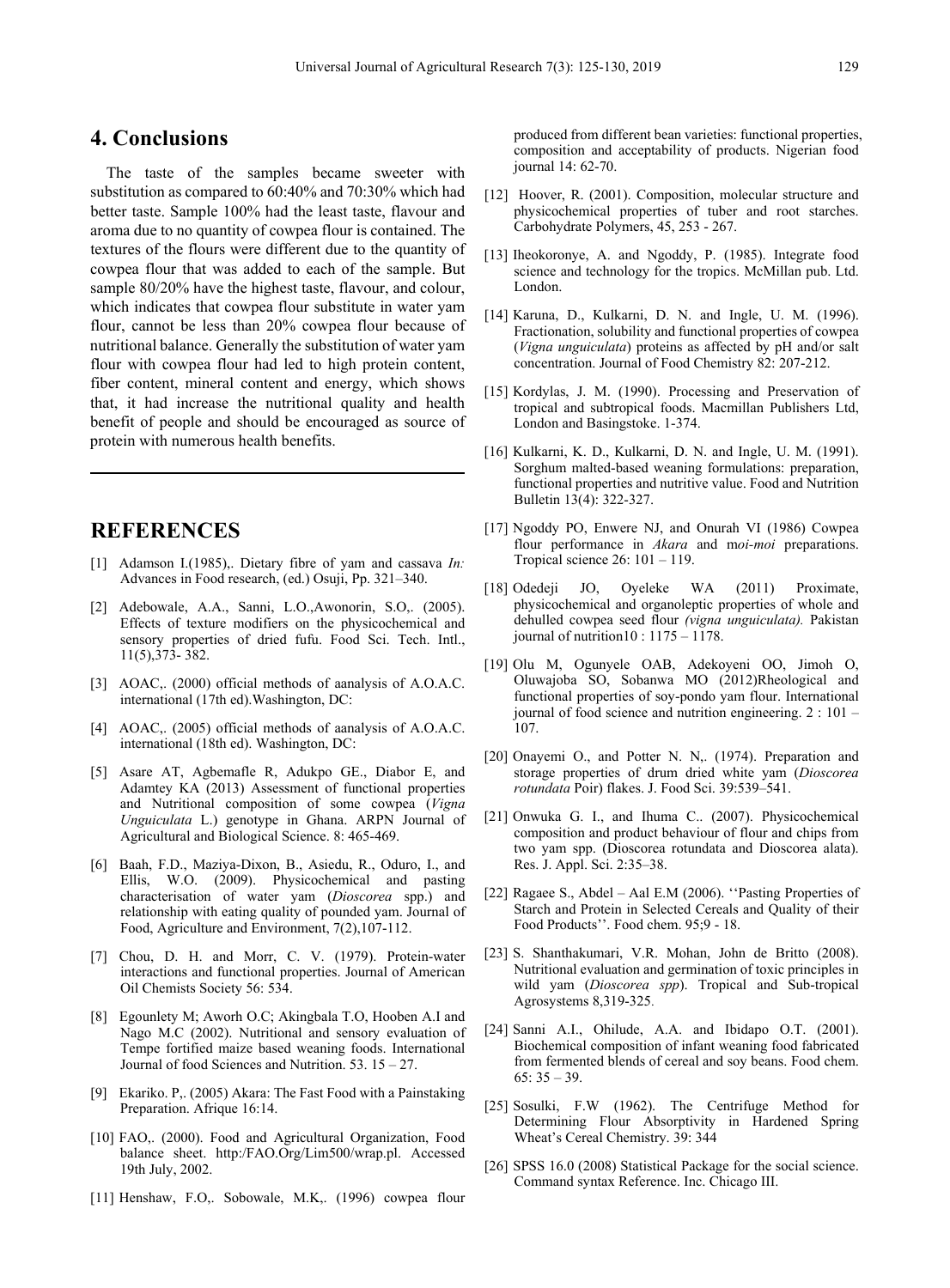## **4. Conclusions**

The taste of the samples became sweeter with substitution as compared to 60:40% and 70:30% which had better taste. Sample 100% had the least taste, flavour and aroma due to no quantity of cowpea flour is contained. The textures of the flours were different due to the quantity of cowpea flour that was added to each of the sample. But sample 80/20% have the highest taste, flavour, and colour, which indicates that cowpea flour substitute in water yam flour, cannot be less than 20% cowpea flour because of nutritional balance. Generally the substitution of water yam flour with cowpea flour had led to high protein content, fiber content, mineral content and energy, which shows that, it had increase the nutritional quality and health benefit of people and should be encouraged as source of protein with numerous health benefits.

# **REFERENCES**

- [1] Adamson I.(1985),. Dietary fibre of yam and cassava *In:* Advances in Food research, (ed.) Osuji, Pp. 321–340.
- [2] Adebowale, A.A., Sanni, L.O.,Awonorin, S.O,. (2005). Effects of texture modifiers on the physicochemical and sensory properties of dried fufu. Food Sci. Tech. Intl., 11(5),373- 382.
- [3] AOAC, (2000) official methods of aanalysis of A.O.A.C. international (17th ed).Washington, DC:
- [4] AOAC,. (2005) official methods of aanalysis of A.O.A.C. international (18th ed). Washington, DC:
- [5] Asare AT, Agbemafle R, Adukpo GE., Diabor E, and Adamtey KA (2013) Assessment of functional properties and Nutritional composition of some cowpea (*Vigna Unguiculata* L.) genotype in Ghana. ARPN Journal of Agricultural and Biological Science. 8: 465-469.
- [6] Baah, F.D., Maziya-Dixon, B., Asiedu, R., Oduro, I., and Ellis, W.O. (2009). Physicochemical and pasting characterisation of water yam (*Dioscorea* spp.) and relationship with eating quality of pounded yam. Journal of Food, Agriculture and Environment, 7(2),107-112.
- [7] Chou, D. H. and Morr, C. V. (1979). Protein-water interactions and functional properties. Journal of American Oil Chemists Society 56: 534.
- [8] Egounlety M; Aworh O.C; Akingbala T.O, Hooben A.I and Nago M.C (2002). Nutritional and sensory evaluation of Tempe fortified maize based weaning foods. International Journal of food Sciences and Nutrition. 53. 15 – 27.
- [9] Ekariko. P,. (2005) Akara: The Fast Food with a Painstaking Preparation. Afrique 16:14.
- [10] FAO,. (2000). Food and Agricultural Organization, Food balance sheet. http:/FAO.Org/Lim500/wrap.pl. Accessed 19th July, 2002.
- [11] Henshaw, F.O,. Sobowale, M.K,. (1996) cowpea flour

produced from different bean varieties: functional properties, composition and acceptability of products. Nigerian food journal 14: 62-70.

- [12] Hoover, R. (2001). Composition, molecular structure and physicochemical properties of tuber and root starches. Carbohydrate Polymers, 45, 253 - 267.
- [13] Iheokoronye, A. and Ngoddy, P. (1985). Integrate food science and technology for the tropics. McMillan pub. Ltd. London.
- [14] Karuna, D., Kulkarni, D. N. and Ingle, U. M. (1996). Fractionation, solubility and functional properties of cowpea (*Vigna unguiculata*) proteins as affected by pH and/or salt concentration. Journal of Food Chemistry 82: 207-212.
- [15] Kordylas, J. M. (1990). Processing and Preservation of tropical and subtropical foods. Macmillan Publishers Ltd, London and Basingstoke. 1-374.
- [16] Kulkarni, K. D., Kulkarni, D. N. and Ingle, U. M. (1991). Sorghum malted-based weaning formulations: preparation, functional properties and nutritive value. Food and Nutrition Bulletin 13(4): 322-327.
- [17] Ngoddy PO, Enwere NJ, and Onurah VI (1986) Cowpea flour performance in *Akara* and m*oi-moi* preparations. Tropical science 26: 101 – 119.
- [18] Odedeji JO, Oyeleke WA (2011) Proximate, physicochemical and organoleptic properties of whole and dehulled cowpea seed flour *(vigna unguiculata).* Pakistan journal of nutrition10 : 1175 – 1178.
- [19] Olu M, Ogunyele OAB, Adekoyeni OO, Jimoh O, Oluwajoba SO, Sobanwa MO (2012)Rheological and functional properties of soy-pondo yam flour. International journal of food science and nutrition engineering. 2 : 101 – 107.
- [20] Onayemi O., and Potter N. N,. (1974). Preparation and storage properties of drum dried white yam (*Dioscorea rotundata* Poir) flakes. J. Food Sci. 39:539–541.
- [21] Onwuka G. I., and Ihuma C.. (2007). Physicochemical composition and product behaviour of flour and chips from two yam spp. (Dioscorea rotundata and Dioscorea alata). Res. J. Appl. Sci. 2:35–38.
- [22] Ragaee S., Abdel Aal E.M (2006). "Pasting Properties of Starch and Protein in Selected Cereals and Quality of their Food Products''. Food chem. 95;9 - 18.
- [23] S. Shanthakumari, V.R. Mohan, John de Britto (2008). Nutritional evaluation and germination of toxic principles in wild yam (*Dioscorea spp*). Tropical and Sub-tropical Agrosystems 8,319-325.
- [24] Sanni A.I., Ohilude, A.A. and Ibidapo O.T. (2001). Biochemical composition of infant weaning food fabricated from fermented blends of cereal and soy beans. Food chem. 65: 35 – 39.
- [25] Sosulki, F.W (1962). The Centrifuge Method for Determining Flour Absorptivity in Hardened Spring Wheat's Cereal Chemistry. 39: 344
- [26] SPSS 16.0 (2008) Statistical Package for the social science. Command syntax Reference. Inc. Chicago III.